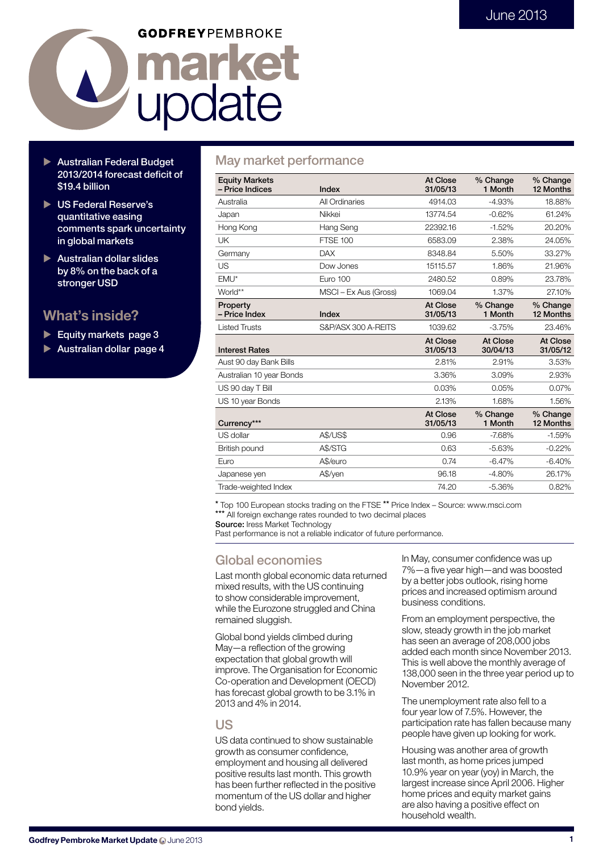# **GODFREYPEMBROKE** market La marke

- Australian Federal Budget 2013/2014 forecast deficit of \$19.4 billion
- ▶ US Federal Reserve's quantitative easing comments spark uncertainty in global markets
- $\blacktriangleright$  Australian dollar slides by 8% on the back of a stronger USD

## What's inside?

- Equity markets page  $3$
- Australian dollar page 4

## May market performance

| <b>Equity Markets</b><br>- Price Indices | Index                 | At Close<br>31/05/13        | % Change<br>1 Month  | % Change<br>12 Months |
|------------------------------------------|-----------------------|-----------------------------|----------------------|-----------------------|
| Australia                                | All Ordinaries        | 4914.03                     | $-4.93%$             | 18.88%                |
| Japan                                    | Nikkei                | 13774.54                    | $-0.62%$             | 61.24%                |
| Hong Kong                                | Hang Seng             | 22392.16                    | $-1.52%$             | 20.20%                |
| UK                                       | <b>FTSE 100</b>       | 6583.09                     | 2.38%                | 24.05%                |
| Germany                                  | <b>DAX</b>            | 8348.84                     | 5.50%                | 33.27%                |
| US                                       | Dow Jones             | 15115.57                    | 1.86%                | 21.96%                |
| EMU*                                     | <b>Euro 100</b>       | 2480.52                     | 0.89%                | 23.78%                |
| World**                                  | MSCI - Ex Aus (Gross) | 1069.04                     | 1.37%                | 27.10%                |
| Property<br>- Price Index                | Index                 | <b>At Close</b><br>31/05/13 | % Change<br>1 Month  | % Change<br>12 Months |
| <b>Listed Trusts</b>                     | S&P/ASX 300 A-REITS   | 1039.62                     | $-3.75%$             | 23.46%                |
| <b>Interest Rates</b>                    |                       | At Close<br>31/05/13        | At Close<br>30/04/13 | At Close<br>31/05/12  |
| Aust 90 day Bank Bills                   |                       | 2.81%                       | 2.91%                | 3.53%                 |
| Australian 10 year Bonds                 |                       | 3.36%                       | 3.09%                | 2.93%                 |
| US 90 day T Bill                         |                       | 0.03%                       | 0.05%                | 0.07%                 |
| US 10 year Bonds                         |                       | 2.13%                       | 1.68%                | 1.56%                 |
| Currency***                              |                       | At Close<br>31/05/13        | % Change<br>1 Month  | % Change<br>12 Months |
| US dollar                                | <b>A\$/US\$</b>       | 0.96                        | $-7.68%$             | $-1.59%$              |
| British pound                            | A\$/STG               | 0.63                        | $-5.63%$             | $-0.22%$              |
| Euro                                     | A\$/euro              | 0.74                        | $-6.47%$             | $-6.40%$              |
| Japanese yen                             | A\$/yen               | 96.18                       | $-4.80%$             | 26.17%                |
| Trade-weighted Index                     |                       | 74.20                       | $-5.36%$             | 0.82%                 |

\* Top 100 European stocks trading on the FTSE \*\* Price Index – Source: www.msci.com \*\*\* All foreign exchange rates rounded to two decimal places

Source: Iress Market Technology

Past performance is not a reliable indicator of future performance.

## Global economies

Last month global economic data returned mixed results, with the US continuing to show considerable improvement, while the Eurozone struggled and China remained sluggish.

Global bond yields climbed during May—a reflection of the growing expectation that global growth will improve. The Organisation for Economic Co-operation and Development (OECD) has forecast global growth to be 3.1% in 2013 and 4% in 2014.

## US

US data continued to show sustainable growth as consumer confidence, employment and housing all delivered positive results last month. This growth has been further reflected in the positive momentum of the US dollar and higher bond yields.

In May, consumer confidence was up 7%—a five year high—and was boosted by a better jobs outlook, rising home prices and increased optimism around business conditions.

From an employment perspective, the slow, steady growth in the job market has seen an average of 208,000 jobs added each month since November 2013. This is well above the monthly average of 138,000 seen in the three year period up to November 2012.

The unemployment rate also fell to a four year low of 7.5%. However, the participation rate has fallen because many people have given up looking for work.

Housing was another area of growth last month, as home prices jumped 10.9% year on year (yoy) in March, the largest increase since April 2006. Higher home prices and equity market gains are also having a positive effect on household wealth.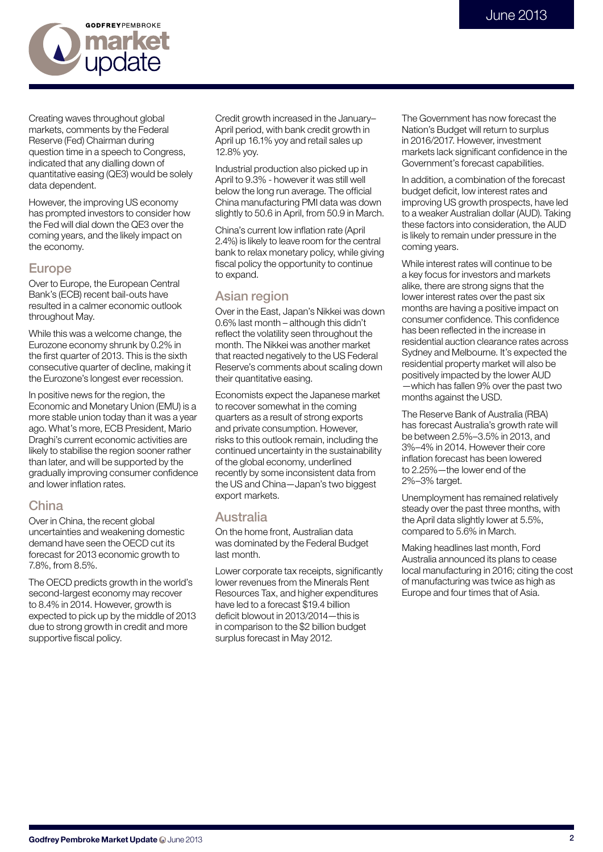

Creating waves throughout global markets, comments by the Federal Reserve (Fed) Chairman during question time in a speech to Congress, indicated that any dialling down of quantitative easing (QE3) would be solely data dependent.

However, the improving US economy has prompted investors to consider how the Fed will dial down the QE3 over the coming years, and the likely impact on the economy.

## Europe

Over to Europe, the European Central Bank's (ECB) recent bail-outs have resulted in a calmer economic outlook throughout May.

While this was a welcome change, the Eurozone economy shrunk by 0.2% in the first quarter of 2013. This is the sixth consecutive quarter of decline, making it the Eurozone's longest ever recession.

In positive news for the region, the Economic and Monetary Union (EMU) is a more stable union today than it was a year ago. What's more, ECB President, Mario Draghi's current economic activities are likely to stabilise the region sooner rather than later, and will be supported by the gradually improving consumer confidence and lower inflation rates.

## China

Over in China, the recent global uncertainties and weakening domestic demand have seen the OECD cut its forecast for 2013 economic growth to 7.8%, from 8.5%.

The OECD predicts growth in the world's second-largest economy may recover to 8.4% in 2014. However, growth is expected to pick up by the middle of 2013 due to strong growth in credit and more supportive fiscal policy.

Credit growth increased in the January– April period, with bank credit growth in April up 16.1% yoy and retail sales up 12.8% yoy.

Industrial production also picked up in April to 9.3% - however it was still well below the long run average. The official China manufacturing PMI data was down slightly to 50.6 in April, from 50.9 in March.

China's current low inflation rate (April 2.4%) is likely to leave room for the central bank to relax monetary policy, while giving fiscal policy the opportunity to continue to expand.

## Asian region

Over in the East, Japan's Nikkei was down 0.6% last month – although this didn't reflect the volatility seen throughout the month. The Nikkei was another market that reacted negatively to the US Federal Reserve's comments about scaling down their quantitative easing.

Economists expect the Japanese market to recover somewhat in the coming quarters as a result of strong exports and private consumption. However, risks to this outlook remain, including the continued uncertainty in the sustainability of the global economy, underlined recently by some inconsistent data from the US and China—Japan's two biggest export markets.

## Australia

On the home front, Australian data was dominated by the Federal Budget last month.

Lower corporate tax receipts, significantly lower revenues from the Minerals Rent Resources Tax, and higher expenditures have led to a forecast \$19.4 billion deficit blowout in 2013/2014—this is in comparison to the \$2 billion budget surplus forecast in May 2012.

The Government has now forecast the Nation's Budget will return to surplus in 2016/2017. However, investment markets lack significant confidence in the Government's forecast capabilities.

In addition, a combination of the forecast budget deficit, low interest rates and improving US growth prospects, have led to a weaker Australian dollar (AUD). Taking these factors into consideration, the AUD is likely to remain under pressure in the coming years.

While interest rates will continue to be a key focus for investors and markets alike, there are strong signs that the lower interest rates over the past six months are having a positive impact on consumer confidence. This confidence has been reflected in the increase in residential auction clearance rates across Sydney and Melbourne. It's expected the residential property market will also be positively impacted by the lower AUD —which has fallen 9% over the past two months against the USD.

The Reserve Bank of Australia (RBA) has forecast Australia's growth rate will be between 2.5%–3.5% in 2013, and 3%–4% in 2014. However their core inflation forecast has been lowered to 2.25%—the lower end of the 2%–3% target.

Unemployment has remained relatively steady over the past three months, with the April data slightly lower at 5.5%, compared to 5.6% in March.

Making headlines last month, Ford Australia announced its plans to cease local manufacturing in 2016; citing the cost of manufacturing was twice as high as Europe and four times that of Asia.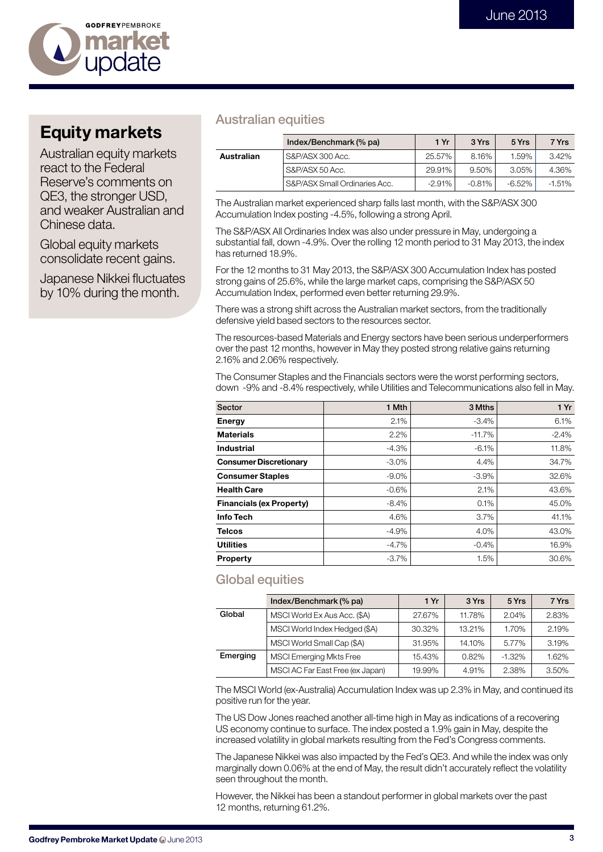

# Equity markets

Australian equity markets react to the Federal Reserve's comments on QE3, the stronger USD, and weaker Australian and Chinese data.

Global equity markets consolidate recent gains.

Japanese Nikkei fluctuates by 10% during the month.

## Australian equities

|            | Index/Benchmark (% pa)        | 1 Yr      | 3 Yrs     | 5 Yrs     | 7 Yrs    |
|------------|-------------------------------|-----------|-----------|-----------|----------|
| Australian | S&P/ASX 300 Acc.              | 25.57%    | 8.16%     | 1.59%     | $3.42\%$ |
|            | S&P/ASX 50 Acc.               | 29.91%    | 9.50%     | $3.05\%$  | 4.36%    |
|            | S&P/ASX Small Ordinaries Acc. | $-2.91\%$ | $-0.81\%$ | $-6.52\%$ | $-1.51%$ |

The Australian market experienced sharp falls last month, with the S&P/ASX 300 Accumulation Index posting -4.5%, following a strong April.

The S&P/ASX All Ordinaries Index was also under pressure in May, undergoing a substantial fall, down -4.9%. Over the rolling 12 month period to 31 May 2013, the index has returned 18.9%.

For the 12 months to 31 May 2013, the S&P/ASX 300 Accumulation Index has posted strong gains of 25.6%, while the large market caps, comprising the S&P/ASX 50 Accumulation Index, performed even better returning 29.9%.

There was a strong shift across the Australian market sectors, from the traditionally defensive yield based sectors to the resources sector.

The resources-based Materials and Energy sectors have been serious underperformers over the past 12 months, however in May they posted strong relative gains returning 2.16% and 2.06% respectively.

The Consumer Staples and the Financials sectors were the worst performing sectors, down -9% and -8.4% respectively, while Utilities and Telecommunications also fell in May.

| Sector                          | 1 Mth    | 3 Mths   | 1Yr      |
|---------------------------------|----------|----------|----------|
| Energy                          | 2.1%     | $-3.4%$  | 6.1%     |
| <b>Materials</b>                | 2.2%     | $-11.7%$ | $-2.4\%$ |
| Industrial                      | $-4.3%$  | $-6.1%$  | 11.8%    |
| <b>Consumer Discretionary</b>   | $-3.0\%$ | 4.4%     | 34.7%    |
| <b>Consumer Staples</b>         | $-9.0\%$ | $-3.9%$  | 32.6%    |
| <b>Health Care</b>              | $-0.6%$  | 2.1%     | 43.6%    |
| <b>Financials (ex Property)</b> | $-8.4%$  | 0.1%     | 45.0%    |
| Info Tech                       | 4.6%     | 3.7%     | 41.1%    |
| <b>Telcos</b>                   | $-4.9%$  | 4.0%     | 43.0%    |
| <b>Utilities</b>                | $-4.7\%$ | $-0.4%$  | 16.9%    |
| <b>Property</b>                 | $-3.7%$  | 1.5%     | 30.6%    |

## Global equities

|          | Index/Benchmark (% pa)           | 1 Yr   | 3 Yrs  | 5 Yrs    | 7 Yrs |
|----------|----------------------------------|--------|--------|----------|-------|
| Global   | MSCI World Ex Aus Acc. (\$A)     | 27.67% | 11.78% | 2.04%    | 2.83% |
|          | MSCI World Index Hedged (\$A)    | 30.32% | 13.21% | 1.70%    | 2.19% |
|          | MSCI World Small Cap (\$A)       | 31.95% | 14.10% | 5.77%    | 3.19% |
| Emerging | MSCI Emerging Mkts Free          | 15.43% | 0.82%  | $-1.32%$ | 1.62% |
|          | MSCI AC Far East Free (ex Japan) | 19.99% | 4.91%  | 2.38%    | 3.50% |

The MSCI World (ex-Australia) Accumulation Index was up 2.3% in May, and continued its positive run for the year.

The US Dow Jones reached another all-time high in May as indications of a recovering US economy continue to surface. The index posted a 1.9% gain in May, despite the increased volatility in global markets resulting from the Fed's Congress comments.

The Japanese Nikkei was also impacted by the Fed's QE3. And while the index was only marginally down 0.06% at the end of May, the result didn't accurately reflect the volatility seen throughout the month.

However, the Nikkei has been a standout performer in global markets over the past 12 months, returning 61.2%.